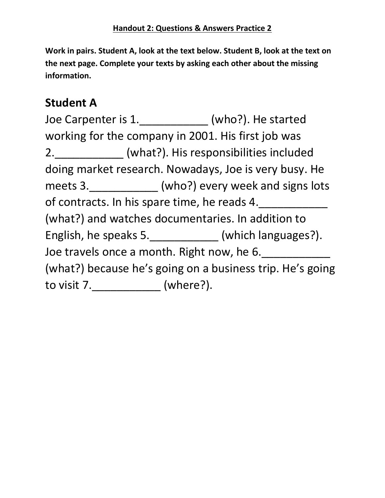**Work in pairs. Student A, look at the text below. Student B, look at the text on the next page. Complete your texts by asking each other about the missing information.**

## **Student A**

Joe Carpenter is 1.\_\_\_\_\_\_\_\_\_\_\_ (who?). He started working for the company in 2001. His first job was 2.\_\_\_\_\_\_\_\_\_\_\_ (what?). His responsibilities included doing market research. Nowadays, Joe is very busy. He meets 3.\_\_\_\_\_\_\_\_\_\_\_\_\_ (who?) every week and signs lots of contracts. In his spare time, he reads 4. (what?) and watches documentaries. In addition to English, he speaks 5.\_\_\_\_\_\_\_\_\_\_\_\_ (which languages?). Joe travels once a month. Right now, he 6. (what?) because he's going on a business trip. He's going to visit 7.\_\_\_\_\_\_\_\_\_\_\_ (where?).